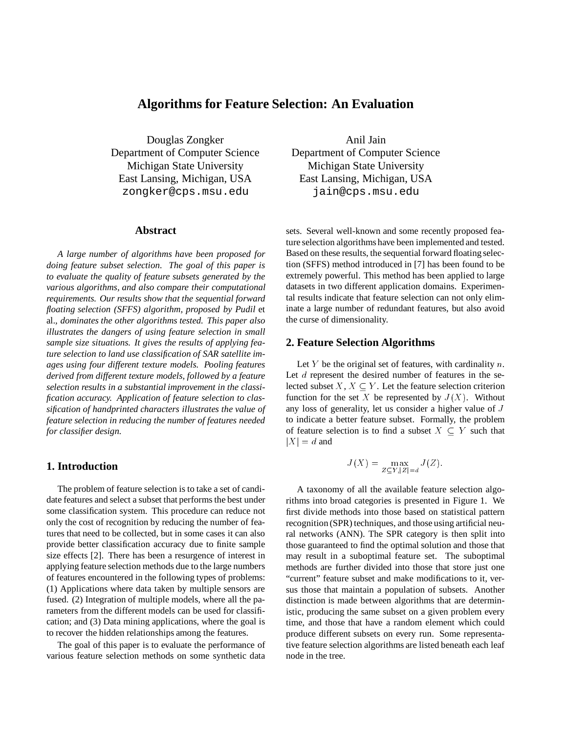## **Algorithms for Feature Selection: An Evaluation**

Douglas Zongker Department of Computer Science Michigan State University East Lansing, Michigan, USA zongker@cps.msu.edu

#### **Abstract**

*A large number of algorithms have been proposed for doing feature subset selection. The goal of this paper is to evaluate the quality of feature subsets generated by the various algorithms, and also compare their computational requirements. Our results show that the sequential forward floating selection (SFFS) algorithm, proposed by Pudil* et al.*, dominates the other algorithms tested. This paper also illustrates the dangers of using feature selection in small sample size situations. It gives the results of applying feature selection to land use classification of SAR satellite images using four different texture models. Pooling features derived from different texture models, followed by a feature selection results in a substantial improvement in the classification accuracy. Application of feature selection to classification of handprinted characters illustrates the value of feature selection in reducing the number of features needed for classifier design.*

## **1. Introduction**

The problem of feature selection is to take a set of candidate features and select a subset that performs the best under some classification system. This procedure can reduce not only the cost of recognition by reducing the number of features that need to be collected, but in some cases it can also provide better classification accuracy due to finite sample size effects [2]. There has been a resurgence of interest in applying feature selection methods due to the large numbers of features encountered in the following types of problems: (1) Applications where data taken by multiple sensors are fused. (2) Integration of multiple models, where all the parameters from the different models can be used for classification; and (3) Data mining applications, where the goal is to recover the hidden relationships among the features.

The goal of this paper is to evaluate the performance of various feature selection methods on some synthetic data

Anil Jain Department of Computer Science Michigan State University East Lansing, Michigan, USA jain@cps.msu.edu

sets. Several well-known and some recently proposed feature selection algorithms have been implemented and tested. Based on these results, the sequential forward floating selection (SFFS) method introduced in [7] has been found to be extremely powerful. This method has been applied to large datasets in two different application domains. Experimental results indicate that feature selection can not only eliminate a large number of redundant features, but also avoid the curse of dimensionality.

## **2. Feature Selection Algorithms**

Let Y be the original set of features, with cardinality  $n$ . Let d represent the desired number of features in the selected subset  $X, X \subseteq Y$ . Let the feature selection criterion function for the set X be represented by  $J(X)$ . Without any loss of generality, let us consider a higher value of <sup>J</sup> to indicate a better feature subset. Formally, the problem of feature selection is to find a subset  $X \subseteq Y$  such that  $|X| = d$  and

$$
J(X) = \max_{Z \subseteq Y, |Z| = d} J(Z).
$$

A taxonomy of all the available feature selection algorithms into broad categories is presented in Figure 1. We first divide methods into those based on statistical pattern recognition (SPR) techniques, and those using artificial neural networks (ANN). The SPR category is then split into those guaranteed to find the optimal solution and those that may result in a suboptimal feature set. The suboptimal methods are further divided into those that store just one "current" feature subset and make modifications to it, versus those that maintain a population of subsets. Another distinction is made between algorithms that are deterministic, producing the same subset on a given problem every time, and those that have a random element which could produce different subsets on every run. Some representative feature selection algorithms are listed beneath each leaf node in the tree.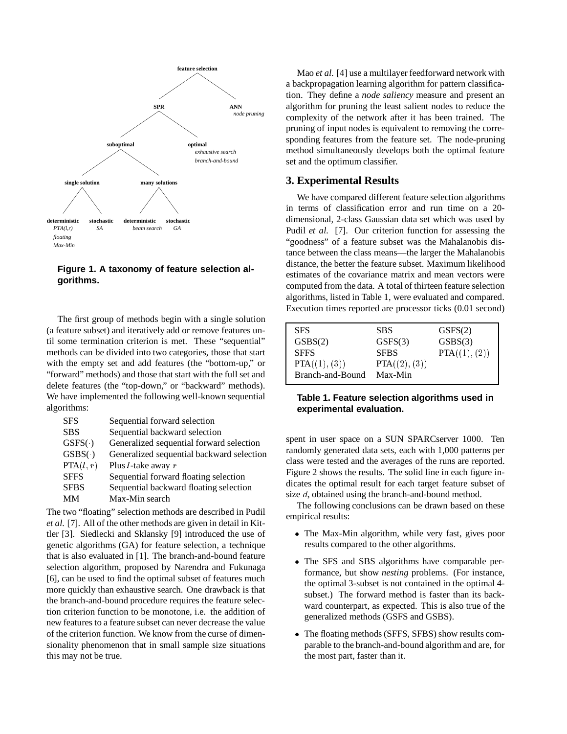

**Figure 1. A taxonomy of feature selection algorithms.**

The first group of methods begin with a single solution (a feature subset) and iteratively add or remove features until some termination criterion is met. These "sequential" methods can be divided into two categories, those that start with the empty set and add features (the "bottom-up," or "forward" methods) and those that start with the full set and delete features (the "top-down," or "backward" methods). We have implemented the following well-known sequential algorithms:

| <b>SFS</b>  | Sequential forward selection              |
|-------------|-------------------------------------------|
| <b>SBS</b>  | Sequential backward selection             |
| GSFS(·)     | Generalized sequential forward selection  |
| GSBS( )     | Generalized sequential backward selection |
| PTA(l, r)   | Plus $l$ -take away $r$                   |
| <b>SFFS</b> | Sequential forward floating selection     |
| <b>SFBS</b> | Sequential backward floating selection    |
| MМ          | Max-Min search                            |

The two "floating" selection methods are described in Pudil *et al.* [7]. All of the other methods are given in detail in Kittler [3]. Siedlecki and Sklansky [9] introduced the use of genetic algorithms (GA) for feature selection, a technique that is also evaluated in [1]. The branch-and-bound feature selection algorithm, proposed by Narendra and Fukunaga [6], can be used to find the optimal subset of features much more quickly than exhaustive search. One drawback is that the branch-and-bound procedure requires the feature selection criterion function to be monotone, i.e. the addition of new features to a feature subset can never decrease the value of the criterion function. We know from the curse of dimensionality phenomenon that in small sample size situations this may not be true.

Mao *et al.* [4] use a multilayer feedforward network with a backpropagation learning algorithm for pattern classification. They define a *node saliency* measure and present an algorithm for pruning the least salient nodes to reduce the complexity of the network after it has been trained. The pruning of input nodes is equivalent to removing the corresponding features from the feature set. The node-pruning method simultaneously develops both the optimal feature set and the optimum classifier.

## **3. Experimental Results**

We have compared different feature selection algorithms in terms of classification error and run time on a 20 dimensional, 2-class Gaussian data set which was used by Pudil *et al.* [7]. Our criterion function for assessing the "goodness" of a feature subset was the Mahalanobis distance between the class means—the larger the Mahalanobis distance, the better the feature subset. Maximum likelihood estimates of the covariance matrix and mean vectors were computed from the data. A total of thirteen feature selection algorithms, listed in Table 1, were evaluated and compared. Execution times reported are processor ticks (0.01 second)

| <b>SFS</b>       | <b>SBS</b>    | GSFS(2)       |
|------------------|---------------|---------------|
| GSBS(2)          | GSFS(3)       | GSBS(3)       |
| <b>SFFS</b>      | <b>SFBS</b>   | PTA((1), (2)) |
| PTA((1), (3))    | PTA((2), (3)) |               |
| Branch-and-Bound | Max-Min       |               |

**Table 1. Feature selection algorithms used in experimental evaluation.**

spent in user space on a SUN SPARCserver 1000. Ten randomly generated data sets, each with 1,000 patterns per class were tested and the averages of the runs are reported. Figure 2 shows the results. The solid line in each figure indicates the optimal result for each target feature subset of size d, obtained using the branch-and-bound method.

The following conclusions can be drawn based on these empirical results:

- The Max-Min algorithm, while very fast, gives poor results compared to the other algorithms.
- The SFS and SBS algorithms have comparable performance, but show *nesting* problems. (For instance, the optimal 3-subset is not contained in the optimal 4 subset.) The forward method is faster than its backward counterpart, as expected. This is also true of the generalized methods (GSFS and GSBS).
- The floating methods (SFFS, SFBS) show results comparable to the branch-and-bound algorithm and are, for the most part, faster than it.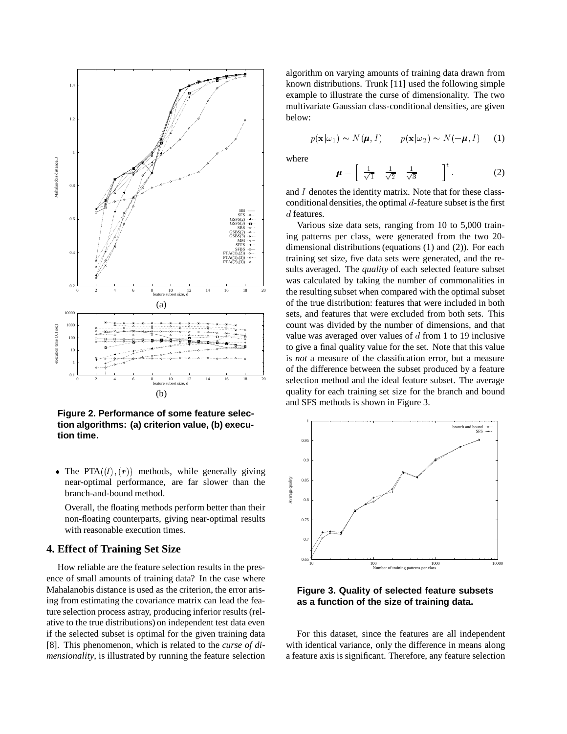

**Figure 2. Performance of some feature selection algorithms: (a) criterion value, (b) execution time.**

• The PTA $((l), (r))$  methods, while generally giving near-optimal performance, are far slower than the branch-and-bound method.

Overall, the floating methods perform better than their non-floating counterparts, giving near-optimal results with reasonable execution times.

## **4. Effect of Training Set Size**

How reliable are the feature selection results in the presence of small amounts of training data? In the case where Mahalanobis distance is used as the criterion, the error arising from estimating the covariance matrix can lead the feature selection process astray, producing inferior results (relative to the true distributions) on independent test data even if the selected subset is optimal for the given training data [8]. This phenomenon, which is related to the *curse of dimensionality*, is illustrated by running the feature selection algorithm on varying amounts of training data drawn from known distributions. Trunk [11] used the following simple example to illustrate the curse of dimensionality. The two multivariate Gaussian class-conditional densities, are given below:

$$
p(\mathbf{x}|\omega_1) \sim N(\boldsymbol{\mu}, I) \qquad p(\mathbf{x}|\omega_2) \sim N(-\boldsymbol{\mu}, I) \qquad (1)
$$

where

$$
\mu = \left[ \begin{array}{cc} \frac{1}{\sqrt{1}} & \frac{1}{\sqrt{2}} & \frac{1}{\sqrt{3}} & \cdots \end{array} \right]^t. \tag{2}
$$

and <sup>I</sup> denotes the identity matrix. Note that for these classconditional densities, the optimal  $d$ -feature subset is the first d features.

Various size data sets, ranging from 10 to 5,000 training patterns per class, were generated from the two 20 dimensional distributions (equations (1) and (2)). For each training set size, five data sets were generated, and the results averaged. The *quality* of each selected feature subset was calculated by taking the number of commonalities in the resulting subset when compared with the optimal subset of the true distribution: features that were included in both sets, and features that were excluded from both sets. This count was divided by the number of dimensions, and that value was averaged over values of  $d$  from 1 to 19 inclusive to give a final quality value for the set. Note that this value is *not* a measure of the classification error, but a measure of the difference between the subset produced by a feature selection method and the ideal feature subset. The average quality for each training set size for the branch and bound and SFS methods is shown in Figure 3.



**Figure 3. Quality of selected feature subsets as a function of the size of training data.**

For this dataset, since the features are all independent with identical variance, only the difference in means along a feature axis is significant. Therefore, any feature selection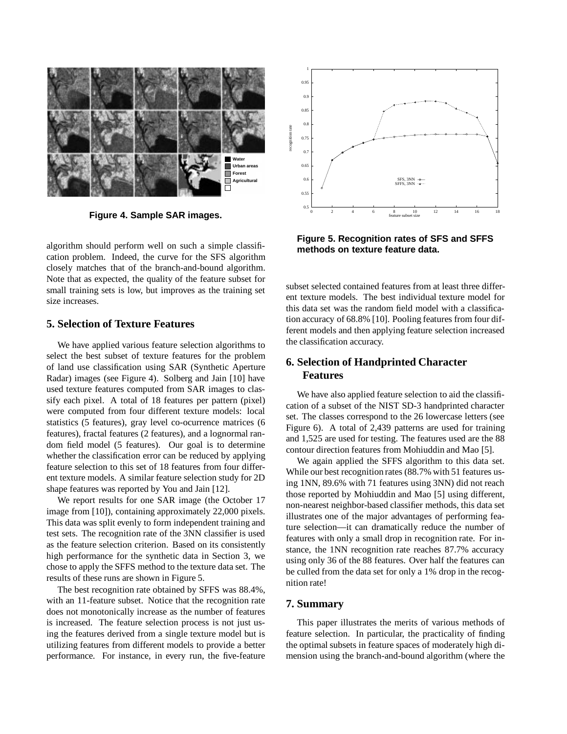

**Figure 4. Sample SAR images.**

algorithm should perform well on such a simple classification problem. Indeed, the curve for the SFS algorithm closely matches that of the branch-and-bound algorithm. Note that as expected, the quality of the feature subset for small training sets is low, but improves as the training set size increases.

## **5. Selection of Texture Features**

We have applied various feature selection algorithms to select the best subset of texture features for the problem of land use classification using SAR (Synthetic Aperture Radar) images (see Figure 4). Solberg and Jain [10] have used texture features computed from SAR images to classify each pixel. A total of 18 features per pattern (pixel) were computed from four different texture models: local statistics (5 features), gray level co-ocurrence matrices (6 features), fractal features (2 features), and a lognormal random field model (5 features). Our goal is to determine whether the classification error can be reduced by applying feature selection to this set of 18 features from four different texture models. A similar feature selection study for 2D shape features was reported by You and Jain [12].

We report results for one SAR image (the October 17 image from [10]), containing approximately 22,000 pixels. This data was split evenly to form independent training and test sets. The recognition rate of the 3NN classifier is used as the feature selection criterion. Based on its consistently high performance for the synthetic data in Section 3, we chose to apply the SFFS method to the texture data set. The results of these runs are shown in Figure 5.

The best recognition rate obtained by SFFS was 88.4%, with an 11-feature subset. Notice that the recognition rate does not monotonically increase as the number of features is increased. The feature selection process is not just using the features derived from a single texture model but is utilizing features from different models to provide a better performance. For instance, in every run, the five-feature



**Figure 5. Recognition rates of SFS and SFFS methods on texture feature data.**

subset selected contained features from at least three different texture models. The best individual texture model for this data set was the random field model with a classification accuracy of 68.8% [10]. Pooling features from four different models and then applying feature selection increased the classification accuracy.

# **6. Selection of Handprinted Character Features**

We have also applied feature selection to aid the classification of a subset of the NIST SD-3 handprinted character set. The classes correspond to the 26 lowercase letters (see Figure 6). A total of 2,439 patterns are used for training and 1,525 are used for testing. The features used are the 88 contour direction features from Mohiuddin and Mao [5].

We again applied the SFFS algorithm to this data set. While our best recognition rates (88.7% with 51 features using 1NN, 89.6% with 71 features using 3NN) did not reach those reported by Mohiuddin and Mao [5] using different, non-nearest neighbor-based classifier methods, this data set illustrates one of the major advantages of performing feature selection—it can dramatically reduce the number of features with only a small drop in recognition rate. For instance, the 1NN recognition rate reaches 87.7% accuracy using only 36 of the 88 features. Over half the features can be culled from the data set for only a 1% drop in the recognition rate!

## **7. Summary**

This paper illustrates the merits of various methods of feature selection. In particular, the practicality of finding the optimal subsets in feature spaces of moderately high dimension using the branch-and-bound algorithm (where the